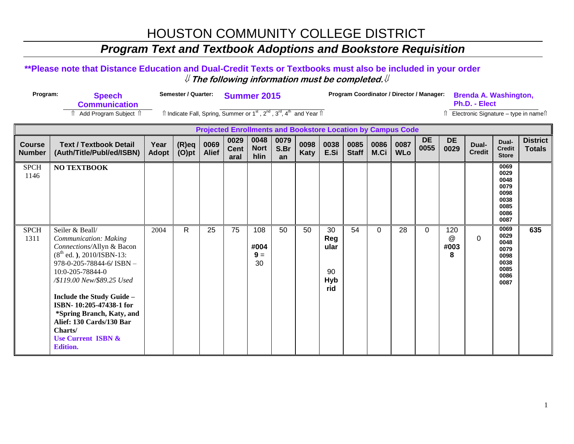### **Program Text and Textbook Adoptions and Bookstore Requisition**

#### \*\*Please note that Distance Education and Dual-Credit Texts or Textbooks must also be included in your order  $\#$  The following information must be completed.  $\#$

| Program: | <b>Speech</b>        | Semester / Quarter: Summer 2015                                                                                                                     | Program Coordinator / Director / Manager: Brenda A. Washington, |                                      |
|----------|----------------------|-----------------------------------------------------------------------------------------------------------------------------------------------------|-----------------------------------------------------------------|--------------------------------------|
|          | <b>Communication</b> |                                                                                                                                                     |                                                                 | Ph.D. - Elect                        |
|          |                      | $\hat{\parallel}$ Indicate Fall, Spring, Summer or 1 <sup>st</sup> , 2 <sup>nd</sup> , 3 <sup>rd</sup> , 4 <sup>th</sup> and Year $\hat{\parallel}$ |                                                                 | Electronic Signature - type in name1 |

|                                | <b>Projected Enrollments and Bookstore Location by Campus Code</b>                                                                                                                                                                                                                                                                                                          |               |                   |                      |                             |                             |                    |              |                                       |               |              |                    |                   |                       |                        |                                                                      |                                  |
|--------------------------------|-----------------------------------------------------------------------------------------------------------------------------------------------------------------------------------------------------------------------------------------------------------------------------------------------------------------------------------------------------------------------------|---------------|-------------------|----------------------|-----------------------------|-----------------------------|--------------------|--------------|---------------------------------------|---------------|--------------|--------------------|-------------------|-----------------------|------------------------|----------------------------------------------------------------------|----------------------------------|
| <b>Course</b><br><b>Number</b> | <b>Text / Textbook Detail</b><br>(Auth/Title/Publ/ed/ISBN)                                                                                                                                                                                                                                                                                                                  | Year<br>Adopt | $(R)$ eq<br>(O)pt | 0069<br><b>Alief</b> | 0029<br><b>Cent</b><br>aral | 0048<br><b>Nort</b><br>hlin | 0079<br>S.Br<br>an | 0098<br>Katy | 0038<br>E.Si                          | 0085<br>Staff | 0086<br>M.Ci | 0087<br><b>WLo</b> | <b>DE</b><br>0055 | <b>DE</b><br>0029     | Dual-<br><b>Credit</b> | Dual-<br><b>Credit</b><br><b>Store</b>                               | <b>District</b><br><b>Totals</b> |
| <b>SPCH</b><br>1146            | <b>NO TEXTBOOK</b>                                                                                                                                                                                                                                                                                                                                                          |               |                   |                      |                             |                             |                    |              |                                       |               |              |                    |                   |                       |                        | 0069<br>0029<br>0048<br>0079<br>0098<br>0038<br>0085<br>0086<br>0087 |                                  |
| <b>SPCH</b><br>1311            | Seiler & Beall/<br>Communication: Making<br>Connections/Allyn & Bacon<br>$(8th$ ed.), 2010/ISBN-13:<br>$978 - 0 - 205 - 78844 - 6$ ISBN -<br>10:0-205-78844-0<br>/\$119.00 New/\$89.25 Used<br>Include the Study Guide -<br>ISBN-10:205-47438-1 for<br>*Spring Branch, Katy, and<br>Alief: 130 Cards/130 Bar<br>Charts/<br><b>Use Current ISBN &amp;</b><br><b>Edition.</b> | 2004          | $\mathsf{R}$      | 25                   | 75                          | 108<br>#004<br>$9 =$<br>30  | 50                 | 50           | 30<br>Reg<br>ular<br>90<br>Hyb<br>rid | 54            | $\Omega$     | 28                 | $\Omega$          | 120<br>@<br>#003<br>8 | $\mathbf 0$            | 0069<br>0029<br>0048<br>0079<br>0098<br>0038<br>0085<br>0086<br>0087 | 635                              |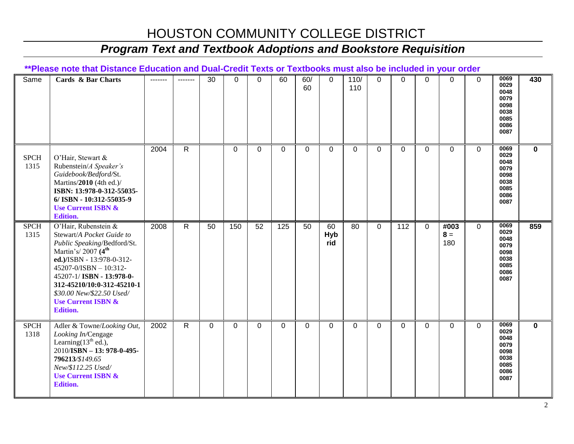### *Program Text and Textbook Adoptions and Bookstore Requisition*

#### **\*\*Please note that Distance Education and Dual-Credit Texts or Textbooks must also be included in your order**

| Same                | Cards & Bar Charts                                                                                                                                                                                                                                                                                         | ------- | -------        | 30          | $\Omega$    | $\Omega$        | 60       | 60/<br>60       | $\overline{0}$          | 110/<br>110     | $\Omega$    | $\mathbf 0$    | $\Omega$    | $\Omega$             | $\mathbf 0$ | 0069<br>0029<br>0048<br>0079<br>0098<br>0038<br>0085<br>0086<br>0087 | 430         |
|---------------------|------------------------------------------------------------------------------------------------------------------------------------------------------------------------------------------------------------------------------------------------------------------------------------------------------------|---------|----------------|-------------|-------------|-----------------|----------|-----------------|-------------------------|-----------------|-------------|----------------|-------------|----------------------|-------------|----------------------------------------------------------------------|-------------|
| <b>SPCH</b><br>1315 | O'Hair, Stewart &<br>Rubenstein/A Speaker's<br>Guidebook/Bedford/St.<br>Martins/2010 (4th ed.)/<br>ISBN: 13:978-0-312-55035-<br>6/ISBN - 10:312-55035-9<br><b>Use Current ISBN &amp;</b><br><b>Edition.</b>                                                                                                | 2004    | $\mathsf{R}$   |             | $\mathbf 0$ | $\Omega$        | $\Omega$ | 0               | 0                       | $\Omega$        | 0           | $\Omega$       | 0           | $\Omega$             | $\Omega$    | 0069<br>0029<br>0048<br>0079<br>0098<br>0038<br>0085<br>0086<br>0087 | $\mathbf 0$ |
| <b>SPCH</b><br>1315 | O'Hair, Rubenstein &<br>Stewart/A Pocket Guide to<br>Public Speaking/Bedford/St.<br>Martin's/2007 $(4th$<br>ed.)/ISBN - 13:978-0-312-<br>45207-0/ISBN - 10:312-<br>45207-1/ISBN - 13:978-0-<br>312-45210/10:0-312-45210-1<br>\$30.00 New/\$22.50 Used/<br><b>Use Current ISBN &amp;</b><br><b>Edition.</b> | 2008    | $\overline{R}$ | 50          | 150         | $\overline{52}$ | 125      | $\overline{50}$ | 60<br><b>Hyb</b><br>rid | $\overline{80}$ | $\mathbf 0$ | $\frac{11}{2}$ | $\mathbf 0$ | #003<br>$8 =$<br>180 | $\mathbf 0$ | 0069<br>0029<br>0048<br>0079<br>0098<br>0038<br>0085<br>0086<br>0087 | 859         |
| <b>SPCH</b><br>1318 | Adler & Towne/Looking Out,<br>Looking In/Cengage<br>Learning $(13th$ ed.),<br>2010/ISBN - 13: 978-0-495-<br>796213/\$149.65<br>New/\$112.25 Used/<br><b>Use Current ISBN &amp;</b><br><b>Edition.</b>                                                                                                      | 2002    | $\mathsf{R}$   | $\mathbf 0$ | $\mathbf 0$ | $\Omega$        | $\Omega$ | 0               | $\Omega$                | $\Omega$        | $\Omega$    | $\Omega$       | $\Omega$    | $\Omega$             | $\mathbf 0$ | 0069<br>0029<br>0048<br>0079<br>0098<br>0038<br>0085<br>0086<br>0087 | $\mathbf 0$ |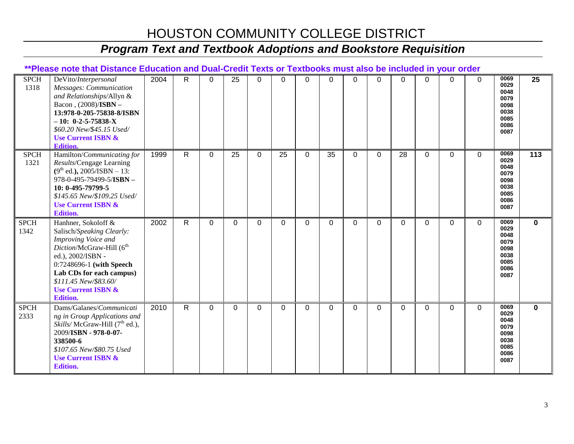# *Program Text and Textbook Adoptions and Bookstore Requisition*

#### **\*\*Please note that Distance Education and Dual-Credit Texts or Textbooks must also be included in your order**

| <b>SPCH</b><br>1318 | DeVito/Interpersonal<br>Messages: Communication<br>and Relationships/Allyn &<br>Bacon, (2008)/ISBN -<br>13:978-0-205-75838-8/ISBN<br>$-10: 0-2-5-75838-X$<br>\$60.20 New/\$45.15 Used/<br><b>Use Current ISBN &amp;</b><br><b>Edition.</b>                                | 2004 | R            | 0           | 25           | 0        | 0  | $\Omega$    | $\Omega$ | $\Omega$ | $\Omega$ | $\Omega$ | $\Omega$     | $\Omega$ | $\Omega$    | 0069<br>0029<br>0048<br>0079<br>0098<br>0038<br>0085<br>0086<br>0087 | 25          |
|---------------------|---------------------------------------------------------------------------------------------------------------------------------------------------------------------------------------------------------------------------------------------------------------------------|------|--------------|-------------|--------------|----------|----|-------------|----------|----------|----------|----------|--------------|----------|-------------|----------------------------------------------------------------------|-------------|
| <b>SPCH</b><br>1321 | Hamilton/Communicating for<br>Results/Cengage Learning<br>$(9th$ ed.), 2005/ISBN - 13:<br>978-0-495-79499-5/ISBN -<br>10: 0-495-79799-5<br>\$145.65 New/\$109.25 Used/<br><b>Use Current ISBN &amp;</b><br><b>Edition.</b>                                                | 1999 | $\mathsf{R}$ | 0           | 25           | $\Omega$ | 25 | $\Omega$    | 35       | $\Omega$ | $\Omega$ | 28       | $\Omega$     | $\Omega$ | $\Omega$    | 0069<br>0029<br>0048<br>0079<br>0098<br>0038<br>0085<br>0086<br>0087 | 113         |
| <b>SPCH</b><br>1342 | Hanhner, Sokoloff &<br>Salisch/Speaking Clearly:<br>Improving Voice and<br>Diction/McGraw-Hill (6 <sup>th</sup><br>ed.), 2002/ISBN -<br>0:7248696-1 (with Speech<br>Lab CDs for each campus)<br>\$111.45 New/\$83.60/<br><b>Use Current ISBN &amp;</b><br><b>Edition.</b> | 2002 | $\mathsf{R}$ | $\mathbf 0$ | $\mathbf{0}$ | $\Omega$ | 0  | $\mathbf 0$ | $\Omega$ | 0        | 0        | 0        | $\mathbf{0}$ | $\Omega$ | $\mathbf 0$ | 0069<br>0029<br>0048<br>0079<br>0098<br>0038<br>0085<br>0086<br>0087 | $\mathbf 0$ |
| <b>SPCH</b><br>2333 | Dams/Galanes/Communicati<br>ng in Group Applications and<br><i>Skills/McGraw-Hill</i> $(7th$ ed.),<br>2009/ISBN - 978-0-07-<br>338500-6<br>\$107.65 New/\$80.75 Used<br><b>Use Current ISBN &amp;</b><br><b>Edition.</b>                                                  | 2010 | $\mathsf{R}$ | $\Omega$    | $\Omega$     | $\Omega$ | 0  | $\Omega$    | $\Omega$ | $\Omega$ | $\Omega$ | $\Omega$ | $\Omega$     | $\Omega$ | $\Omega$    | 0069<br>0029<br>0048<br>0079<br>0098<br>0038<br>0085<br>0086<br>0087 | $\bf{0}$    |